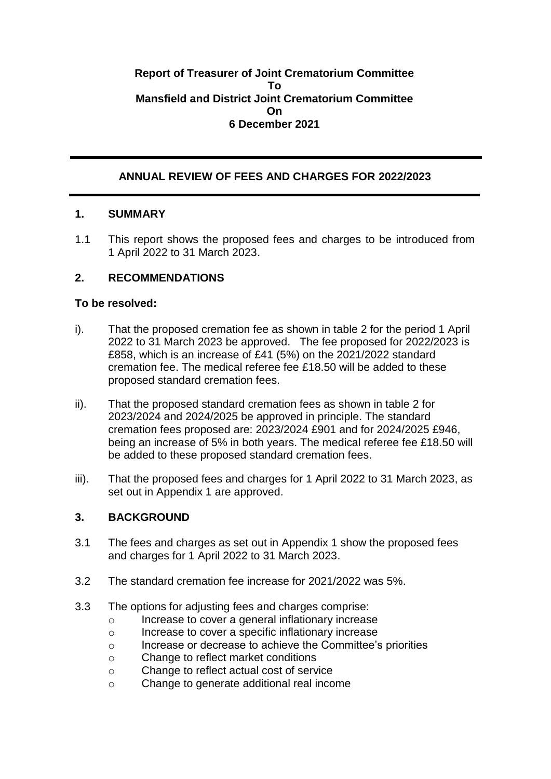## **Report of Treasurer of Joint Crematorium Committee To Mansfield and District Joint Crematorium Committee On 6 December 2021**

# **ANNUAL REVIEW OF FEES AND CHARGES FOR 2022/2023**

## **1. SUMMARY**

1.1 This report shows the proposed fees and charges to be introduced from 1 April 2022 to 31 March 2023.

# **2. RECOMMENDATIONS**

## **To be resolved:**

- i). That the proposed cremation fee as shown in table 2 for the period 1 April 2022 to 31 March 2023 be approved. The fee proposed for 2022/2023 is £858, which is an increase of £41 (5%) on the 2021/2022 standard cremation fee. The medical referee fee £18.50 will be added to these proposed standard cremation fees.
- ii). That the proposed standard cremation fees as shown in table 2 for 2023/2024 and 2024/2025 be approved in principle. The standard cremation fees proposed are: 2023/2024 £901 and for 2024/2025 £946, being an increase of 5% in both years. The medical referee fee £18.50 will be added to these proposed standard cremation fees.
- iii). That the proposed fees and charges for 1 April 2022 to 31 March 2023, as set out in Appendix 1 are approved.

## **3. BACKGROUND**

- 3.1 The fees and charges as set out in Appendix 1 show the proposed fees and charges for 1 April 2022 to 31 March 2023.
- 3.2 The standard cremation fee increase for 2021/2022 was 5%.
- 3.3 The options for adjusting fees and charges comprise:
	- o Increase to cover a general inflationary increase
	- o Increase to cover a specific inflationary increase
	- o Increase or decrease to achieve the Committee's priorities
	- o Change to reflect market conditions
	- o Change to reflect actual cost of service
	- o Change to generate additional real income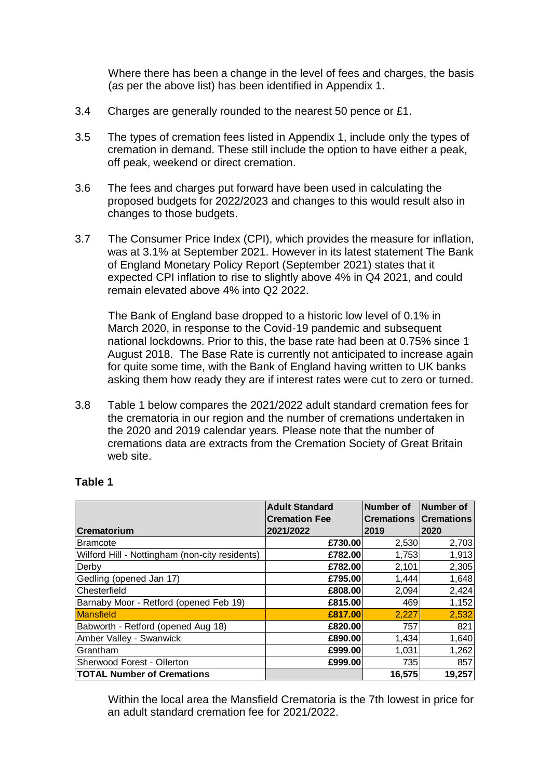Where there has been a change in the level of fees and charges, the basis (as per the above list) has been identified in Appendix 1.

- 3.4 Charges are generally rounded to the nearest 50 pence or £1.
- 3.5 The types of cremation fees listed in Appendix 1, include only the types of cremation in demand. These still include the option to have either a peak, off peak, weekend or direct cremation.
- 3.6 The fees and charges put forward have been used in calculating the proposed budgets for 2022/2023 and changes to this would result also in changes to those budgets.
- 3.7 The Consumer Price Index (CPI), which provides the measure for inflation, was at 3.1% at September 2021. However in its latest statement The Bank of England Monetary Policy Report (September 2021) states that it expected CPI inflation to rise to slightly above 4% in Q4 2021, and could remain elevated above 4% into Q2 2022.

The Bank of England base dropped to a historic low level of 0.1% in March 2020, in response to the Covid-19 pandemic and subsequent national lockdowns. Prior to this, the base rate had been at 0.75% since 1 August 2018. The Base Rate is currently not anticipated to increase again for quite some time, with the Bank of England having written to UK banks asking them how ready they are if interest rates were cut to zero or turned.

3.8 Table 1 below compares the 2021/2022 adult standard cremation fees for the crematoria in our region and the number of cremations undertaken in the 2020 and 2019 calendar years. Please note that the number of cremations data are extracts from the Cremation Society of Great Britain web site.

|                                                | <b>Adult Standard</b> | Number of              | Number of |
|------------------------------------------------|-----------------------|------------------------|-----------|
|                                                | <b>Cremation Fee</b>  | Cremations  Cremations |           |
| <b>Crematorium</b>                             | 2021/2022             | 2019                   | 2020      |
| Bramcote                                       | £730.00               | 2,530                  | 2,703     |
| Wilford Hill - Nottingham (non-city residents) | £782.00               | 1,753                  | 1,913     |
| Derby                                          | £782.00               | 2,101                  | 2,305     |
| Gedling (opened Jan 17)                        | £795.00               | 1,444                  | 1,648     |
| Chesterfield                                   | £808.00               | 2,094                  | 2,424     |
| Barnaby Moor - Retford (opened Feb 19)         | £815.00               | 469                    | 1,152     |
| <b>Mansfield</b>                               | £817.00               | 2,227                  | 2,532     |
| Babworth - Retford (opened Aug 18)             | £820.00               | 757                    | 821       |
| Amber Valley - Swanwick                        | £890.00               | 1,434                  | 1,640     |
| Grantham                                       | £999.00               | 1,031                  | 1,262     |
| Sherwood Forest - Ollerton                     | £999.00               | 735                    | 857       |
| <b>TOTAL Number of Cremations</b>              |                       | 16,575                 | 19,257    |

## **Table 1**

Within the local area the Mansfield Crematoria is the 7th lowest in price for an adult standard cremation fee for 2021/2022.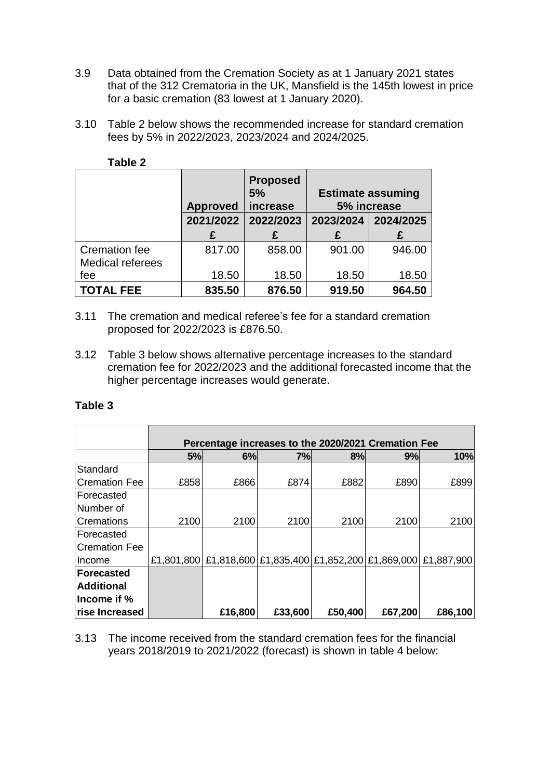- 3.9 Data obtained from the Cremation Society as at 1 January 2021 states that of the 312 Crematoria in the UK, Mansfield is the 145th lowest in price for a basic cremation (83 lowest at 1 January 2020).
- 3.10 Table 2 below shows the recommended increase for standard cremation fees by 5% in 2022/2023, 2023/2024 and 2024/2025.

|                                          | <b>Approved</b> | <b>Proposed</b><br>5%<br>increase | <b>Estimate assuming</b><br>5% increase |        |  |  |  |  |
|------------------------------------------|-----------------|-----------------------------------|-----------------------------------------|--------|--|--|--|--|
|                                          | 2021/2022       | 2022/2023                         | 2023/2024 2024/2025                     |        |  |  |  |  |
|                                          | £               |                                   | £                                       |        |  |  |  |  |
| <b>Cremation fee</b><br>Medical referees | 817.00          | 858.00                            | 901.00                                  | 946.00 |  |  |  |  |
| fee                                      | 18.50           | 18.50                             | 18.50                                   | 18.50  |  |  |  |  |
| <b>TOTAL FEE</b>                         | 835.50          | 876.50                            | 919.50                                  | 964.50 |  |  |  |  |

**Table 2**

- 3.11 The cremation and medical referee's fee for a standard cremation proposed for 2022/2023 is £876.50.
- 3.12 Table 3 below shows alternative percentage increases to the standard cremation fee for 2022/2023 and the additional forecasted income that the higher percentage increases would generate.

## **Table 3**

|                       |      |         |         |         | Percentage increases to the 2020/2021 Cremation Fee    |            |
|-----------------------|------|---------|---------|---------|--------------------------------------------------------|------------|
|                       | 5%   | 6%      | 7%      | 8%      | 9%                                                     | 10%        |
| Standard              |      |         |         |         |                                                        |            |
| Cremation Fee         | £858 | £866    | £874    | £882    | £890                                                   | £899       |
| <b>IForecasted</b>    |      |         |         |         |                                                        |            |
| Number of             |      |         |         |         |                                                        |            |
| <b>Cremations</b>     | 2100 | 2100    | 2100    | 2100    | 2100                                                   | 2100       |
| lForecasted           |      |         |         |         |                                                        |            |
| <b>ICremation Fee</b> |      |         |         |         |                                                        |            |
| Income                |      |         |         |         | £1,801,800 £1,818,600 £1,835,400 £1,852,200 £1,869,000 | £1,887,900 |
| <b>Forecasted</b>     |      |         |         |         |                                                        |            |
| <b>Additional</b>     |      |         |         |         |                                                        |            |
| Income if $%$         |      |         |         |         |                                                        |            |
| rise Increased        |      | £16,800 | £33,600 | £50,400 | £67,200                                                | £86,100    |

3.13 The income received from the standard cremation fees for the financial years 2018/2019 to 2021/2022 (forecast) is shown in table 4 below: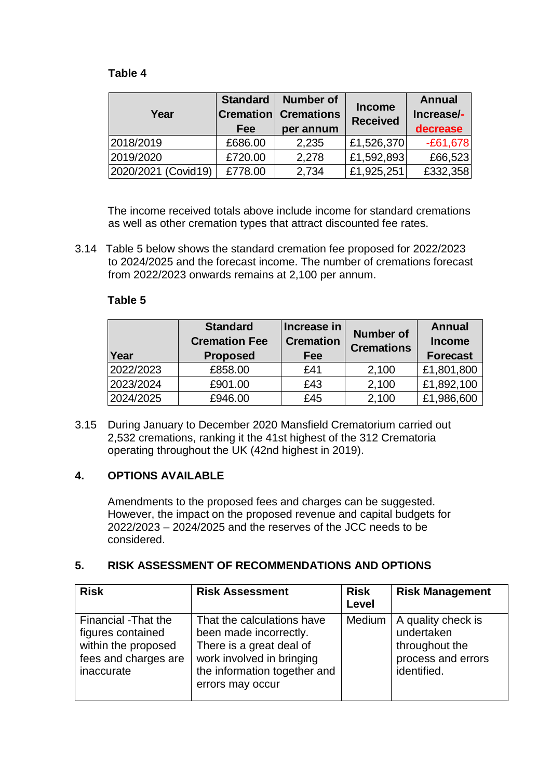## **Table 4**

| Year                | <b>Standard</b><br>Fee | <b>Number of</b><br><b>Cremation Cremations</b><br>per annum | <b>Income</b><br><b>Received</b> | <b>Annual</b><br>Increase/-<br>decrease |  |
|---------------------|------------------------|--------------------------------------------------------------|----------------------------------|-----------------------------------------|--|
| 2018/2019           | £686.00                | 2,235                                                        | £1,526,370                       | $-£61,678$                              |  |
| 2019/2020           | £720.00                | 2,278                                                        | £1,592,893                       | £66,523                                 |  |
| 2020/2021 (Covid19) | £778.00                | 2,734                                                        | £1,925,251                       | £332,358                                |  |

The income received totals above include income for standard cremations as well as other cremation types that attract discounted fee rates.

3.14 Table 5 below shows the standard cremation fee proposed for 2022/2023 to 2024/2025 and the forecast income. The number of cremations forecast from 2022/2023 onwards remains at 2,100 per annum.

#### **Table 5**

| Year      | <b>Standard</b><br><b>Cremation Fee</b><br><b>Proposed</b> | Increase in<br><b>Cremation</b><br>Fee | <b>Number of</b><br><b>Cremations</b> | <b>Annual</b><br><b>Income</b><br><b>Forecast</b> |
|-----------|------------------------------------------------------------|----------------------------------------|---------------------------------------|---------------------------------------------------|
| 2022/2023 | £858.00                                                    | £41                                    | 2,100                                 | £1,801,800                                        |
| 2023/2024 | £901.00                                                    | £43                                    | 2,100                                 | £1,892,100                                        |
| 2024/2025 | £946.00                                                    | £45                                    | 2,100                                 | £1,986,600                                        |

3.15 During January to December 2020 Mansfield Crematorium carried out 2,532 cremations, ranking it the 41st highest of the 312 Crematoria operating throughout the UK (42nd highest in 2019).

## **4. OPTIONS AVAILABLE**

Amendments to the proposed fees and charges can be suggested. However, the impact on the proposed revenue and capital budgets for 2022/2023 – 2024/2025 and the reserves of the JCC needs to be considered.

# **5. RISK ASSESSMENT OF RECOMMENDATIONS AND OPTIONS**

| <b>Risk</b>                                                                                           | <b>Risk Assessment</b>                                                                                                                                            | <b>Risk</b><br>Level | <b>Risk Management</b>                                                                  |
|-------------------------------------------------------------------------------------------------------|-------------------------------------------------------------------------------------------------------------------------------------------------------------------|----------------------|-----------------------------------------------------------------------------------------|
| Financial -That the<br>figures contained<br>within the proposed<br>fees and charges are<br>inaccurate | That the calculations have<br>been made incorrectly.<br>There is a great deal of<br>work involved in bringing<br>the information together and<br>errors may occur | Medium               | A quality check is<br>undertaken<br>throughout the<br>process and errors<br>identified. |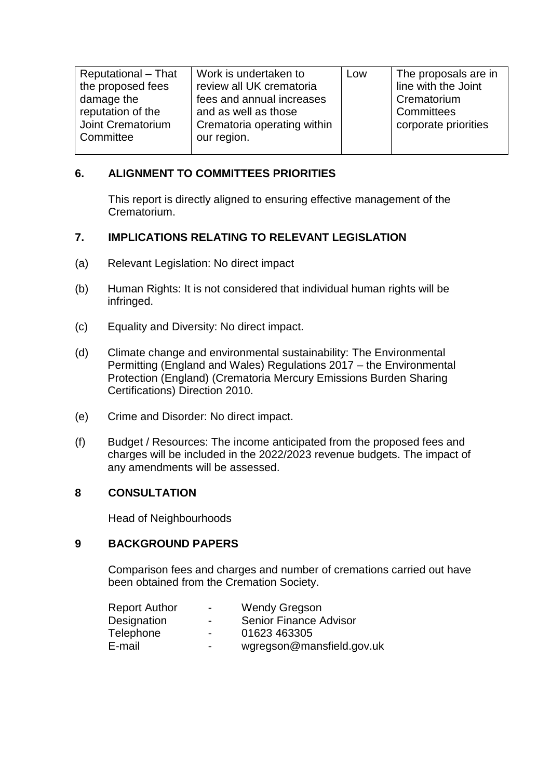| Reputational - That | Work is undertaken to       | Low | The proposals are in |
|---------------------|-----------------------------|-----|----------------------|
| the proposed fees   | review all UK crematoria    |     | line with the Joint  |
| damage the          | fees and annual increases   |     | Crematorium          |
| reputation of the   | and as well as those        |     | Committees           |
| Joint Crematorium   | Crematoria operating within |     | corporate priorities |
| Committee           | our region.                 |     |                      |
|                     |                             |     |                      |

## **6. ALIGNMENT TO COMMITTEES PRIORITIES**

This report is directly aligned to ensuring effective management of the Crematorium.

## **7. IMPLICATIONS RELATING TO RELEVANT LEGISLATION**

- (a) Relevant Legislation: No direct impact
- (b) Human Rights: It is not considered that individual human rights will be infringed.
- (c) Equality and Diversity: No direct impact.
- (d) Climate change and environmental sustainability: The Environmental Permitting (England and Wales) Regulations 2017 – the Environmental Protection (England) (Crematoria Mercury Emissions Burden Sharing Certifications) Direction 2010.
- (e) Crime and Disorder: No direct impact.
- (f) Budget / Resources: The income anticipated from the proposed fees and charges will be included in the 2022/2023 revenue budgets. The impact of any amendments will be assessed.

## **8 CONSULTATION**

Head of Neighbourhoods

## **9 BACKGROUND PAPERS**

Comparison fees and charges and number of cremations carried out have been obtained from the Cremation Society.

| <b>Report Author</b> | $\blacksquare$           | <b>Wendy Gregson</b>          |
|----------------------|--------------------------|-------------------------------|
| Designation          | $\overline{\phantom{0}}$ | <b>Senior Finance Advisor</b> |
| Telephone            | $\overline{\phantom{0}}$ | 01623 463305                  |
| E-mail               | $\overline{\phantom{0}}$ | wgregson@mansfield.gov.uk     |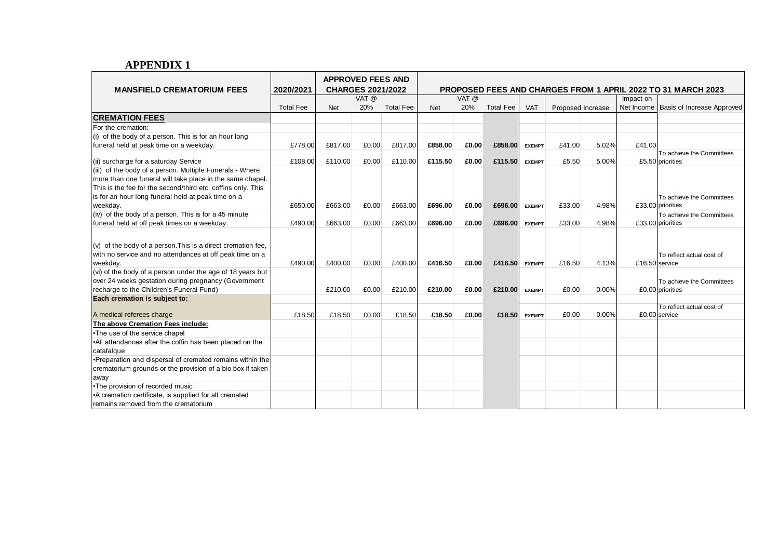## **APPENDIX 1**

| <b>MANSFIELD CREMATORIUM FEES</b>                                    | 2020/2021        | <b>APPROVED FEES AND</b><br><b>CHARGES 2021/2022</b> |       |                  | <b>PROPOSED FEES AND CHARGES FROM 1 APRIL 2022 TO 31 MARCH 2023</b> |       |                  |               |                   |       |                |                                               |  |
|----------------------------------------------------------------------|------------------|------------------------------------------------------|-------|------------------|---------------------------------------------------------------------|-------|------------------|---------------|-------------------|-------|----------------|-----------------------------------------------|--|
|                                                                      |                  | VAT @                                                |       | VAT @            |                                                                     |       |                  |               | Impact on         |       |                |                                               |  |
|                                                                      | <b>Total Fee</b> | <b>Net</b>                                           | 20%   | <b>Total Fee</b> | <b>Net</b>                                                          | 20%   | <b>Total Fee</b> | <b>VAT</b>    | Proposed Increase |       | Net Income     | Basis of Increase Approved                    |  |
| <b>CREMATION FEES</b>                                                |                  |                                                      |       |                  |                                                                     |       |                  |               |                   |       |                |                                               |  |
| For the cremation:                                                   |                  |                                                      |       |                  |                                                                     |       |                  |               |                   |       |                |                                               |  |
| (i) of the body of a person. This is for an hour long                |                  |                                                      |       |                  |                                                                     |       |                  |               |                   |       |                |                                               |  |
| funeral held at peak time on a weekday.                              | £778.00          | £817.00                                              | £0.00 | £817.00          | £858.00                                                             | £0.00 | £858.00          | <b>EXEMPT</b> | £41.00            | 5.02% | £41.00         |                                               |  |
|                                                                      |                  |                                                      |       |                  |                                                                     |       |                  |               |                   |       |                | To achieve the Committees                     |  |
| (ii) surcharge for a saturday Service                                | £108.00          | £110.00                                              | £0.00 | £110.00          | £115.50                                                             | £0.00 | £115.50          | <b>EXEMPT</b> | £5.50             | 5.00% |                | £5.50 priorities                              |  |
| (iii) of the body of a person. Multiple Funerals - Where             |                  |                                                      |       |                  |                                                                     |       |                  |               |                   |       |                |                                               |  |
| more than one funeral will take place in the same chapel.            |                  |                                                      |       |                  |                                                                     |       |                  |               |                   |       |                |                                               |  |
| This is the fee for the second/third etc. coffins only. This         |                  |                                                      |       |                  |                                                                     |       |                  |               |                   |       |                |                                               |  |
| is for an hour long funeral held at peak time on a                   |                  |                                                      |       |                  |                                                                     |       |                  |               |                   |       |                | To achieve the Committees                     |  |
| weekday.                                                             | £650.00          | £663.00                                              | £0.00 | £663.00          | £696.00                                                             | £0.00 | £696.00          | <b>EXEMPT</b> | £33.00            | 4.98% |                | £33.00 priorities                             |  |
| $(iv)$ of the body of a person. This is for a 45 minute              |                  |                                                      |       |                  |                                                                     |       |                  |               |                   |       |                | To achieve the Committees                     |  |
| funeral held at off peak times on a weekday.                         | £490.00          | £663.00                                              | £0.00 | £663.00          | £696.00                                                             | £0.00 | £696.00          | <b>EXEMPT</b> | £33.00            | 4.98% |                | £33.00 priorities                             |  |
| $(v)$ of the body of a person. This is a direct cremation fee,       |                  |                                                      |       |                  |                                                                     |       |                  |               |                   |       |                |                                               |  |
|                                                                      |                  |                                                      |       |                  |                                                                     |       |                  |               |                   |       |                |                                               |  |
| with no service and no attendances at off peak time on a<br>weekday. | £490.00          | £400.00                                              | £0.00 | £400.00          | £416.50                                                             | £0.00 | £416.50          |               | £16.50            | 4.13% | £16.50 service | To reflect actual cost of                     |  |
| (vi) of the body of a person under the age of 18 years but           |                  |                                                      |       |                  |                                                                     |       |                  | <b>EXEMPT</b> |                   |       |                |                                               |  |
| over 24 weeks gestation during pregnancy (Government                 |                  |                                                      |       |                  |                                                                     |       |                  |               |                   |       |                |                                               |  |
| recharge to the Children's Funeral Fund)                             |                  | £210.00                                              | £0.00 | £210.00          | £210.00                                                             | £0.00 | £210.00          | <b>EXEMPT</b> | £0.00             | 0.00% |                | To achieve the Committees<br>£0.00 priorities |  |
| Each cremation is subject to:                                        |                  |                                                      |       |                  |                                                                     |       |                  |               |                   |       |                |                                               |  |
|                                                                      |                  |                                                      |       |                  |                                                                     |       |                  |               |                   |       |                | To reflect actual cost of                     |  |
| A medical referees charge                                            | £18.50           | £18.50                                               | £0.00 | £18.50           | £18.50                                                              | £0.00 | £18.50           | <b>EXEMPT</b> | £0.00             | 0.00% |                | $£0.00$ service                               |  |
| The above Cremation Fees include:                                    |                  |                                                      |       |                  |                                                                     |       |                  |               |                   |       |                |                                               |  |
| •The use of the service chapel                                       |                  |                                                      |       |                  |                                                                     |       |                  |               |                   |       |                |                                               |  |
| .All attendances after the coffin has been placed on the             |                  |                                                      |       |                  |                                                                     |       |                  |               |                   |       |                |                                               |  |
| catafalque                                                           |                  |                                                      |       |                  |                                                                     |       |                  |               |                   |       |                |                                               |  |
| •Preparation and dispersal of cremated remains within the            |                  |                                                      |       |                  |                                                                     |       |                  |               |                   |       |                |                                               |  |
| crematorium grounds or the provision of a bio box if taken           |                  |                                                      |       |                  |                                                                     |       |                  |               |                   |       |                |                                               |  |
| away                                                                 |                  |                                                      |       |                  |                                                                     |       |                  |               |                   |       |                |                                               |  |
| •The provision of recorded music                                     |                  |                                                      |       |                  |                                                                     |       |                  |               |                   |       |                |                                               |  |
| •A cremation certificate, is supplied for all cremated               |                  |                                                      |       |                  |                                                                     |       |                  |               |                   |       |                |                                               |  |
| remains removed from the crematorium                                 |                  |                                                      |       |                  |                                                                     |       |                  |               |                   |       |                |                                               |  |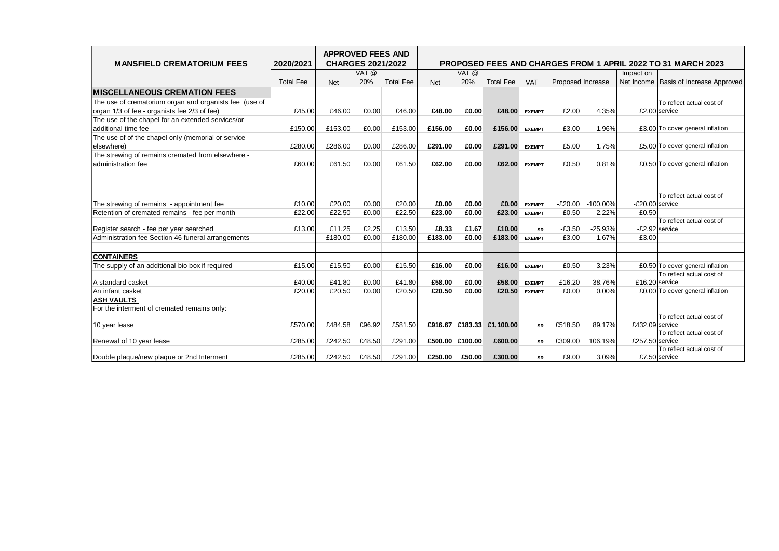| <b>MANSFIELD CREMATORIUM FEES</b>                      | 2020/2021        | <b>APPROVED FEES AND</b> | <b>CHARGES 2021/2022</b> |                  | <b>PROPOSED FEES AND CHARGES FROM 1 APRIL 2022 TO 31 MARCH 2023</b> |                 |                           |               |                   |             |                 |                                             |  |
|--------------------------------------------------------|------------------|--------------------------|--------------------------|------------------|---------------------------------------------------------------------|-----------------|---------------------------|---------------|-------------------|-------------|-----------------|---------------------------------------------|--|
|                                                        |                  |                          | VAT @                    |                  |                                                                     | VAT @           |                           |               |                   |             | Impact on       |                                             |  |
|                                                        | <b>Total Fee</b> | <b>Net</b>               | 20%                      | <b>Total Fee</b> | <b>Net</b>                                                          | 20%             | <b>Total Fee</b>          | <b>VAT</b>    | Proposed Increase |             | Net Income      | Basis of Increase Approved                  |  |
| <b>MISCELLANEOUS CREMATION FEES</b>                    |                  |                          |                          |                  |                                                                     |                 |                           |               |                   |             |                 |                                             |  |
| The use of crematorium organ and organists fee (use of |                  |                          |                          |                  |                                                                     |                 |                           |               |                   |             |                 | To reflect actual cost of                   |  |
| organ 1/3 of fee - organists fee 2/3 of fee)           | £45.00           | £46.00                   | £0.00                    | £46.00           | £48.00                                                              | £0.00           | £48.00                    | <b>EXEMPT</b> | £2.00             | 4.35%       |                 | £2.00 service                               |  |
| The use of the chapel for an extended services/or      |                  |                          |                          |                  |                                                                     |                 |                           |               |                   |             |                 |                                             |  |
| additional time fee                                    | £150.00          | £153.00                  | £0.00                    | £153.00          | £156.00                                                             | £0.00           | £156.00                   | <b>EXEMPT</b> | £3.00             | 1.96%       |                 | £3.00 To cover general inflation            |  |
| The use of of the chapel only (memorial or service     |                  |                          |                          |                  |                                                                     |                 |                           |               |                   |             |                 |                                             |  |
| elsewhere)                                             | £280.00          | £286.00                  | £0.00                    | £286.00          | £291.00                                                             | £0.00           | £291.00                   | <b>EXEMPT</b> | £5.00             | 1.75%       |                 | £5.00 To cover general inflation            |  |
| The strewing of remains cremated from elsewhere -      |                  |                          |                          |                  |                                                                     |                 |                           |               |                   |             |                 |                                             |  |
| administration fee                                     | £60.00           | £61.50                   | £0.00                    | £61.50           | £62.00                                                              | £0.00           | £62.00                    | <b>EXEMPT</b> | £0.50             | 0.81%       |                 | £0.50 To cover general inflation            |  |
| The strewing of remains - appointment fee              | £10.00           | £20.00                   | £0.00                    | £20.00           | £0.00                                                               | £0.00           | £0.00                     | <b>EXEMPT</b> | $-E20.00$         | $-100.00\%$ | -£20.00 service | To reflect actual cost of                   |  |
| Retention of cremated remains - fee per month          | £22.00           | £22.50                   | £0.00                    | £22.50           | £23.00                                                              | £0.00           | £23.00                    | <b>EXEMPT</b> | £0.50             | 2.22%       | £0.50           |                                             |  |
| Register search - fee per year searched                | £13.00           | £11.25                   | £2.25                    | £13.50           | £8.33                                                               | £1.67           | £10.00                    | <b>SR</b>     | $-E3.50$          | $-25.93%$   |                 | To reflect actual cost of<br>-£2.92 service |  |
| Administration fee Section 46 funeral arrangements     |                  | £180.00                  | £0.00                    | £180.00          | £183.00                                                             | £0.00           | £183.00                   | <b>EXEMPT</b> | £3.00             | 1.67%       | £3.00           |                                             |  |
|                                                        |                  |                          |                          |                  |                                                                     |                 |                           |               |                   |             |                 |                                             |  |
| <b>CONTAINERS</b>                                      |                  |                          |                          |                  |                                                                     |                 |                           |               |                   |             |                 |                                             |  |
| The supply of an additional bio box if required        | £15.00           | £15.50                   | £0.00                    | £15.50           | £16.00                                                              | £0.00           | £16.00                    | <b>EXEMPT</b> | £0.50             | 3.23%       |                 | £0.50 To cover general inflation            |  |
|                                                        |                  |                          |                          |                  |                                                                     |                 |                           |               |                   |             |                 | To reflect actual cost of                   |  |
| A standard casket                                      | £40.00           | £41.80                   | £0.00                    | £41.80           | £58.00                                                              | £0.00           | £58.00                    | <b>EXEMPT</b> | £16.20            | 38.76%      | £16.20 service  |                                             |  |
| An infant casket                                       | £20.00           | £20.50                   | £0.00                    | £20.50           | £20.50                                                              | £0.00           | £20.50                    | <b>EXEMPT</b> | £0.00             | 0.00%       |                 | £0.00 To cover general inflation            |  |
| <b>ASH VAULTS</b>                                      |                  |                          |                          |                  |                                                                     |                 |                           |               |                   |             |                 |                                             |  |
| For the interment of cremated remains only:            |                  |                          |                          |                  |                                                                     |                 |                           |               |                   |             |                 |                                             |  |
| 10 year lease                                          | £570.00          | £484.58                  | £96.92                   | £581.50          |                                                                     |                 | £916.67 £183.33 £1,100.00 | SR            | £518.50           | 89.17%      | £432.09 service | To reflect actual cost of                   |  |
| Renewal of 10 year lease                               | £285.00          | £242.50                  | £48.50                   | £291.00          |                                                                     | £500.00 £100.00 | £600.00                   | <b>SR</b>     | £309.00           | 106.19%     | £257.50 service | To reflect actual cost of                   |  |
| Double plaque/new plaque or 2nd Interment              | £285.00          | £242.50                  | £48.50                   | £291.00          | £250.00                                                             | £50.00          | £300.00                   | <b>SR</b>     | £9.00             | 3.09%       |                 | To reflect actual cost of<br>£7.50 service  |  |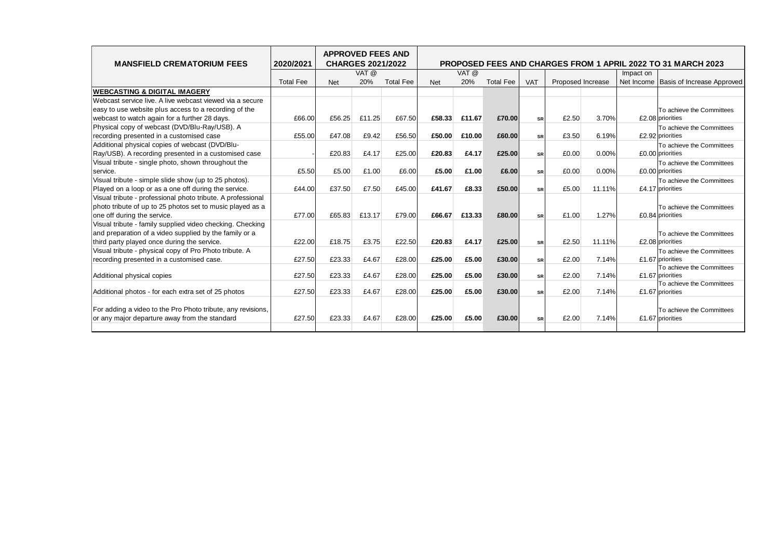| <b>MANSFIELD CREMATORIUM FEES</b>                           | 2020/2021        | <b>APPROVED FEES AND</b> | <b>CHARGES 2021/2022</b> |                  | <b>PROPOSED FEES AND CHARGES FROM 1 APRIL 2022 TO 31 MARCH 2023</b> |        |                  |            |                   |        |            |                                   |  |  |
|-------------------------------------------------------------|------------------|--------------------------|--------------------------|------------------|---------------------------------------------------------------------|--------|------------------|------------|-------------------|--------|------------|-----------------------------------|--|--|
|                                                             |                  |                          | VAT @                    |                  |                                                                     | VAT @  |                  |            |                   |        | Impact on  |                                   |  |  |
|                                                             | <b>Total Fee</b> | <b>Net</b>               | 20%                      | <b>Total Fee</b> | <b>Net</b>                                                          | 20%    | <b>Total Fee</b> | <b>VAT</b> | Proposed Increase |        | Net Income | <b>Basis of Increase Approved</b> |  |  |
| <b>WEBCASTING &amp; DIGITAL IMAGERY</b>                     |                  |                          |                          |                  |                                                                     |        |                  |            |                   |        |            |                                   |  |  |
| Webcast service live. A live webcast viewed via a secure    |                  |                          |                          |                  |                                                                     |        |                  |            |                   |        |            |                                   |  |  |
| easy to use website plus access to a recording of the       |                  |                          |                          |                  |                                                                     |        |                  |            |                   |        |            | To achieve the Committees         |  |  |
| webcast to watch again for a further 28 days.               | £66.00           | £56.25                   | £11.25                   | £67.50           | £58.33                                                              | £11.67 | £70.00           | <b>SR</b>  | £2.50             | 3.70%  |            | £2.08 priorities                  |  |  |
| Physical copy of webcast (DVD/Blu-Ray/USB). A               |                  |                          |                          |                  |                                                                     |        |                  |            |                   |        |            | To achieve the Committees         |  |  |
| recording presented in a customised case                    | £55.00           | £47.08                   | £9.42                    | £56.50           | £50.00                                                              | £10.00 | £60.00           | SR         | £3.50             | 6.19%  |            | £2.92 priorities                  |  |  |
| Additional physical copies of webcast (DVD/Blu-             |                  |                          |                          |                  |                                                                     |        |                  |            |                   |        |            | To achieve the Committees         |  |  |
| Ray/USB). A recording presented in a customised case        |                  | £20.83                   | £4.17                    | £25.00           | £20.83                                                              | £4.17  | £25.00           | <b>SR</b>  | £0.00             | 0.00%  |            | £0.00 priorities                  |  |  |
| Visual tribute - single photo, shown throughout the         |                  |                          |                          |                  |                                                                     |        |                  |            |                   |        |            | To achieve the Committees         |  |  |
| service.                                                    | £5.50            | £5.00                    | £1.00                    | £6.00            | £5.00                                                               | £1.00  | £6.00            | <b>SR</b>  | £0.00             | 0.00%  |            | £0.00 priorities                  |  |  |
| Visual tribute - simple slide show (up to 25 photos).       |                  |                          |                          |                  |                                                                     |        |                  |            |                   |        |            | To achieve the Committees         |  |  |
| Played on a loop or as a one off during the service.        | £44.00           | £37.50                   | £7.50                    | £45.00           | £41.67                                                              | £8.33  | £50.00           | <b>SR</b>  | £5.00             | 11.11% |            | £4.17 priorities                  |  |  |
| Visual tribute - professional photo tribute. A professional |                  |                          |                          |                  |                                                                     |        |                  |            |                   |        |            |                                   |  |  |
| photo tribute of up to 25 photos set to music played as a   |                  |                          |                          |                  |                                                                     |        |                  |            |                   |        |            | To achieve the Committees         |  |  |
| one off during the service.                                 | £77.00           | £65.83                   | £13.17                   | £79.00           | £66.67                                                              | £13.33 | £80.00           | <b>SR</b>  | £1.00             | 1.27%  |            | £0.84 priorities                  |  |  |
| Visual tribute - family supplied video checking. Checking   |                  |                          |                          |                  |                                                                     |        |                  |            |                   |        |            |                                   |  |  |
| and preparation of a video supplied by the family or a      |                  |                          |                          |                  |                                                                     |        |                  |            |                   |        |            | To achieve the Committees         |  |  |
| third party played once during the service.                 | £22.00           | £18.75                   | £3.75                    | £22.50           | £20.83                                                              | £4.17  | £25.00           | <b>SR</b>  | £2.50             | 11.11% |            | £2.08 priorities                  |  |  |
| Visual tribute - physical copy of Pro Photo tribute. A      |                  |                          |                          |                  |                                                                     |        |                  |            |                   |        |            | To achieve the Committees         |  |  |
| recording presented in a customised case.                   | £27.50           | £23.33                   | £4.67                    | £28.00           | £25.00                                                              | £5.00  | £30.00           | srl        | £2.00             | 7.14%  |            | £1.67 priorities                  |  |  |
|                                                             |                  |                          |                          |                  |                                                                     |        |                  |            |                   |        |            | To achieve the Committees         |  |  |
| Additional physical copies                                  | £27.50           | £23.33                   | £4.67                    | £28.00           | £25.00                                                              | £5.00  | £30.00           | SR         | £2.00             | 7.14%  |            | £1.67 priorities                  |  |  |
|                                                             |                  |                          |                          |                  |                                                                     |        |                  |            |                   |        |            | To achieve the Committees         |  |  |
| Additional photos - for each extra set of 25 photos         | £27.50           | £23.33                   | £4.67                    | £28.00           | £25.00                                                              | £5.00  | £30.00           | <b>SR</b>  | £2.00             | 7.14%  |            | £1.67 priorities                  |  |  |
|                                                             |                  |                          |                          |                  |                                                                     |        |                  |            |                   |        |            |                                   |  |  |
| For adding a video to the Pro Photo tribute, any revisions, |                  |                          |                          |                  |                                                                     |        |                  |            |                   |        |            | To achieve the Committees         |  |  |
| or any major departure away from the standard               | £27.50           | £23.33                   | £4.67                    | £28.00           | £25.00                                                              | £5.00  | £30.00           | <b>SR</b>  | £2.00             | 7.14%  |            | £1.67 priorities                  |  |  |
|                                                             |                  |                          |                          |                  |                                                                     |        |                  |            |                   |        |            |                                   |  |  |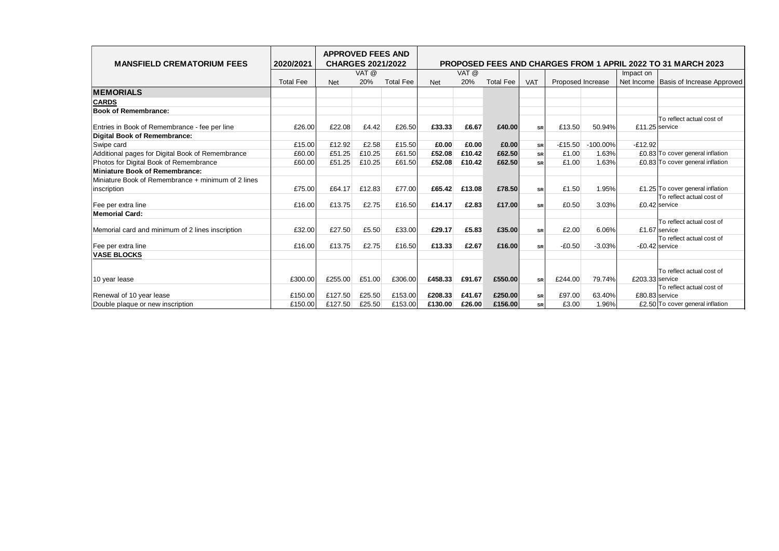| <b>MANSFIELD CREMATORIUM FEES</b>                  | 2020/2021        | <b>APPROVED FEES AND</b><br><b>CHARGES 2021/2022</b> |        |                  | <b>PROPOSED FEES AND CHARGES FROM 1 APRIL 2022 TO 31 MARCH 2023</b> |        |                  |            |                   |             |                 |                                            |
|----------------------------------------------------|------------------|------------------------------------------------------|--------|------------------|---------------------------------------------------------------------|--------|------------------|------------|-------------------|-------------|-----------------|--------------------------------------------|
|                                                    |                  |                                                      | VAT @  |                  |                                                                     | VAT @  |                  |            |                   |             | Impact on       |                                            |
|                                                    | <b>Total Fee</b> | <b>Net</b>                                           | 20%    | <b>Total Fee</b> | <b>Net</b>                                                          | 20%    | <b>Total Fee</b> | <b>VAT</b> | Proposed Increase |             | Net Income      | <b>Basis of Increase Approved</b>          |
| <b>MEMORIALS</b>                                   |                  |                                                      |        |                  |                                                                     |        |                  |            |                   |             |                 |                                            |
| <b>CARDS</b>                                       |                  |                                                      |        |                  |                                                                     |        |                  |            |                   |             |                 |                                            |
| <b>Book of Remembrance:</b>                        |                  |                                                      |        |                  |                                                                     |        |                  |            |                   |             |                 |                                            |
|                                                    | £26.00           | £22.08                                               | £4.42  | £26.50           | £33.33                                                              | £6.67  | £40.00           |            | £13.50            | 50.94%      | £11.25 service  | To reflect actual cost of                  |
| Entries in Book of Remembrance - fee per line      |                  |                                                      |        |                  |                                                                     |        |                  | <b>SR</b>  |                   |             |                 |                                            |
| Digital Book of Remembrance:                       |                  |                                                      |        |                  |                                                                     |        |                  |            |                   |             |                 |                                            |
| Swipe card                                         | £15.00           | £12.92                                               | £2.58  | £15.50           | £0.00                                                               | £0.00  | £0.00            | SR         | $-E15.50$         | $-100.00\%$ | $-£12.92$       |                                            |
| Additional pages for Digital Book of Remembrance   | £60.00           | £51.25                                               | £10.25 | £61.50           | £52.08                                                              | £10.42 | £62.50           | SR         | £1.00             | 1.63%       |                 | £0.83 To cover general inflation           |
| Photos for Digital Book of Remembrance             | £60.00           | £51.25                                               | £10.25 | £61.50           | £52.08                                                              | £10.42 | £62.50           | SR         | £1.00             | 1.63%       |                 | £0.83 To cover general inflation           |
| <b>Miniature Book of Remembrance:</b>              |                  |                                                      |        |                  |                                                                     |        |                  |            |                   |             |                 |                                            |
| Miniature Book of Remembrance + minimum of 2 lines |                  |                                                      |        |                  |                                                                     |        |                  |            |                   |             |                 |                                            |
| inscription                                        | £75.00           | £64.17                                               | £12.83 | £77.00           | £65.42                                                              | £13.08 | £78.50           | <b>SR</b>  | £1.50             | 1.95%       |                 | £1.25 To cover general inflation           |
| Fee per extra line                                 | £16.00           | £13.75                                               | £2.75  | £16.50           | £14.17                                                              | £2.83  | £17.00           | <b>SR</b>  | £0.50             | 3.03%       |                 | To reflect actual cost of<br>£0.42 service |
| <b>Memorial Card:</b>                              |                  |                                                      |        |                  |                                                                     |        |                  |            |                   |             |                 |                                            |
|                                                    |                  |                                                      |        |                  |                                                                     |        |                  |            |                   |             |                 | To reflect actual cost of                  |
| Memorial card and minimum of 2 lines inscription   | £32.00           | £27.50                                               | £5.50  | £33.00           | £29.17                                                              | £5.83  | £35.00           | <b>SR</b>  | £2.00             | 6.06%       |                 | £1.67 service                              |
|                                                    |                  |                                                      |        |                  |                                                                     |        |                  |            |                   |             |                 | To reflect actual cost of                  |
| Fee per extra line                                 | £16.00           | £13.75                                               | £2.75  | £16.50           | £13.33                                                              | £2.67  | £16.00           | <b>SR</b>  | $-£0.50$          | $-3.03%$    | -£0.42 service  |                                            |
| <b>VASE BLOCKS</b>                                 |                  |                                                      |        |                  |                                                                     |        |                  |            |                   |             |                 |                                            |
|                                                    |                  |                                                      |        |                  |                                                                     |        |                  |            |                   |             |                 |                                            |
|                                                    |                  |                                                      |        |                  |                                                                     |        |                  |            |                   |             |                 | To reflect actual cost of                  |
| 10 year lease                                      | £300.00          | £255.00                                              | £51.00 | £306.00          | £458.33                                                             | £91.67 | £550.00          | <b>SR</b>  | £244.00           | 79.74%      | £203.33 service |                                            |
|                                                    |                  | £127.50                                              |        | £153.00          | £208.33                                                             |        |                  |            |                   |             | £80.83 service  | To reflect actual cost of                  |
| Renewal of 10 year lease                           | £150.00          |                                                      | £25.50 |                  |                                                                     | £41.67 | £250.00          | SR         | £97.00            | 63.40%      |                 |                                            |
| Double plaque or new inscription                   | £150.00          | £127.50                                              | £25.50 | £153.00          | £130.00                                                             | £26.00 | £156.00          | <b>SR</b>  | £3.00             | 1.96%       |                 | £2.50 To cover general inflation           |
|                                                    |                  |                                                      |        |                  |                                                                     |        |                  |            |                   |             |                 |                                            |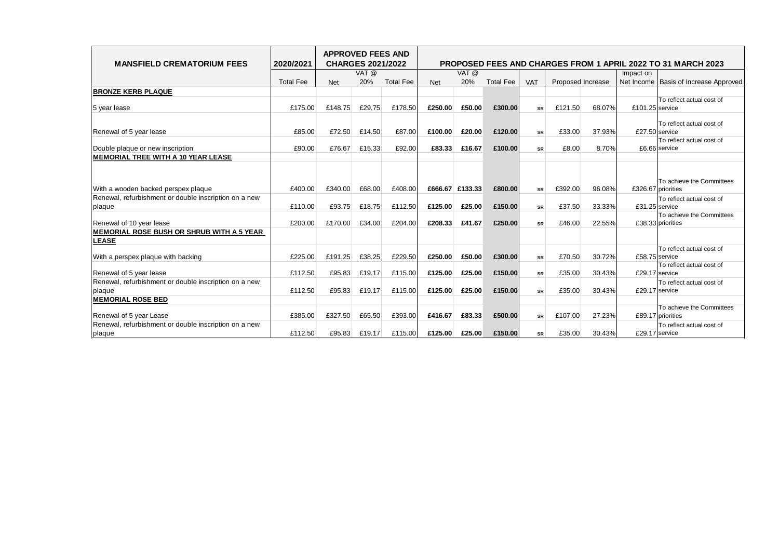| <b>MANSFIELD CREMATORIUM FEES</b>                               | 2020/2021        |         | <b>CHARGES 2021/2022</b> | <b>APPROVED FEES AND</b> | <b>PROPOSED FEES AND CHARGES FROM 1 APRIL 2022 TO 31 MARCH 2023</b> |                 |                  |            |                   |        |                    |                                                |  |
|-----------------------------------------------------------------|------------------|---------|--------------------------|--------------------------|---------------------------------------------------------------------|-----------------|------------------|------------|-------------------|--------|--------------------|------------------------------------------------|--|
|                                                                 |                  |         | VAT @                    |                          |                                                                     | VAT @           |                  |            |                   |        | Impact on          |                                                |  |
|                                                                 | <b>Total Fee</b> | Net     | 20%                      | <b>Total Fee</b>         | <b>Net</b>                                                          | 20%             | <b>Total Fee</b> | <b>VAT</b> | Proposed Increase |        | Net Income         | <b>Basis of Increase Approved</b>              |  |
| <b>BRONZE KERB PLAQUE</b>                                       |                  |         |                          |                          |                                                                     |                 |                  |            |                   |        |                    |                                                |  |
| 5 year lease                                                    | £175.00          | £148.75 | £29.75                   | £178.50                  | £250.00                                                             | £50.00          | £300.00          | <b>SR</b>  | £121.50           | 68.07% | £101.25 service    | To reflect actual cost of                      |  |
| Renewal of 5 year lease                                         | £85.00           | £72.50  | £14.50                   | £87.00                   | £100.00                                                             | £20.00          | £120.00          | <b>SR</b>  | £33.00            | 37.93% | £27.50 service     | To reflect actual cost of                      |  |
| Double plaque or new inscription                                | £90.00           | £76.67  | £15.33                   | £92.00                   | £83.33                                                              | £16.67          | £100.00          | <b>SR</b>  | £8.00             | 8.70%  |                    | To reflect actual cost of<br>£6.66 service     |  |
| <b>MEMORIAL TREE WITH A 10 YEAR LEASE</b>                       |                  |         |                          |                          |                                                                     |                 |                  |            |                   |        |                    |                                                |  |
| With a wooden backed perspex plaque                             | £400.00          | £340.00 | £68.00                   | £408.00                  |                                                                     | £666.67 £133.33 | £800.00          | <b>SR</b>  | £392.00           | 96.08% | £326.67 priorities | To achieve the Committees                      |  |
| Renewal, refurbishment or double inscription on a new<br>plaque | £110.00          | £93.75  | £18.75                   | £112.50                  | £125.00                                                             | £25.00          | £150.00          | <b>SR</b>  | £37.50            | 33.33% | £31.25 service     | To reflect actual cost of                      |  |
| Renewal of 10 year lease                                        | £200.00          | £170.00 | £34.00                   | £204.00                  | £208.33                                                             | £41.67          | £250.00          | <b>SR</b>  | £46.00            | 22.55% |                    | To achieve the Committees<br>£38.33 priorities |  |
| MEMORIAL ROSE BUSH OR SHRUB WITH A 5 YEAR<br><b>LEASE</b>       |                  |         |                          |                          |                                                                     |                 |                  |            |                   |        |                    |                                                |  |
| With a perspex plaque with backing                              | £225.00          | £191.25 | £38.25                   | £229.50                  | £250.00                                                             | £50.00          | £300.00          | <b>SR</b>  | £70.50            | 30.72% | £58.75 service     | To reflect actual cost of                      |  |
| Renewal of 5 year lease                                         | £112.50          | £95.83  | £19.17                   | £115.00                  | £125.00                                                             | £25.00          | £150.00          | <b>SR</b>  | £35.00            | 30.43% | £29.17 service     | To reflect actual cost of                      |  |
| Renewal, refurbishment or double inscription on a new<br>plaque | £112.50          | £95.83  | £19.17                   | £115.00                  | £125.00                                                             | £25.00          | £150.00          | SR         | £35.00            | 30.43% | £29.17 service     | To reflect actual cost of                      |  |
| <b>MEMORIAL ROSE BED</b>                                        |                  |         |                          |                          |                                                                     |                 |                  |            |                   |        |                    |                                                |  |
| Renewal of 5 year Lease                                         | £385.00          | £327.50 | £65.50                   | £393.00                  | £416.67                                                             | £83.33          | £500.00          | <b>SR</b>  | £107.00           | 27.23% |                    | To achieve the Committees<br>£89.17 priorities |  |
| Renewal, refurbishment or double inscription on a new<br>plaque | £112.50          | £95.83  | £19.17                   | £115.00                  | £125.00                                                             | £25.00          | £150.00          | <b>SR</b>  | £35.00            | 30.43% | £29.17 service     | To reflect actual cost of                      |  |